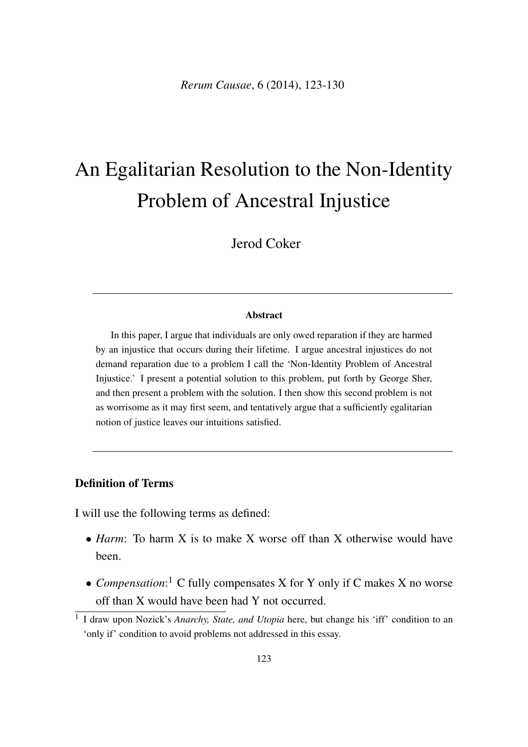# An Egalitarian Resolution to the Non-Identity Problem of Ancestral Injustice

Jerod Coker

#### Abstract

In this paper, I argue that individuals are only owed reparation if they are harmed by an injustice that occurs during their lifetime. I argue ancestral injustices do not demand reparation due to a problem I call the 'Non-Identity Problem of Ancestral Injustice.' I present a potential solution to this problem, put forth by George Sher, and then present a problem with the solution. I then show this second problem is not as worrisome as it may first seem, and tentatively argue that a sufficiently egalitarian notion of justice leaves our intuitions satisfied.

## Definition of Terms

I will use the following terms as defined:

- *Harm*: To harm X is to make X worse off than X otherwise would have been.
- *• Compensation*: <sup>1</sup> C fully compensates X for Y only if C makes X no worse off than X would have been had Y not occurred.

<sup>1</sup> I draw upon Nozick's *Anarchy, State, and Utopia* here, but change his 'iff' condition to an 'only if' condition to avoid problems not addressed in this essay.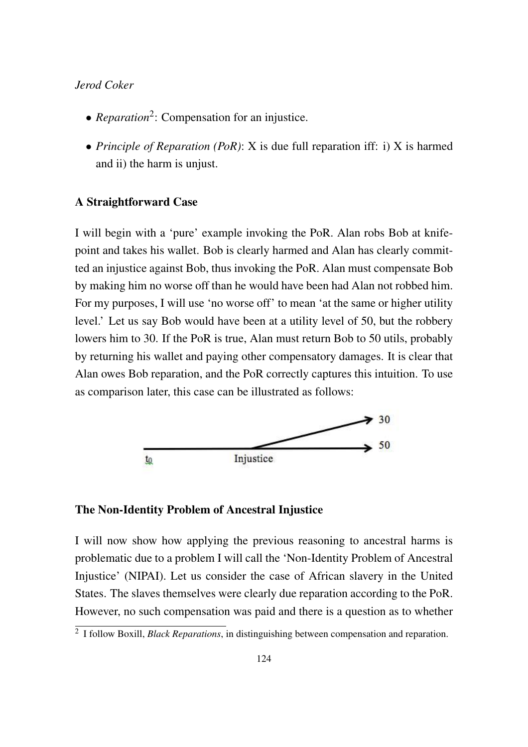- *Reparation*<sup>2</sup>: Compensation for an injustice.
- *• Principle of Reparation (PoR)*: X is due full reparation iff: i) X is harmed and ii) the harm is unjust.

## A Straightforward Case

I will begin with a 'pure' example invoking the PoR. Alan robs Bob at knifepoint and takes his wallet. Bob is clearly harmed and Alan has clearly committed an injustice against Bob, thus invoking the PoR. Alan must compensate Bob by making him no worse off than he would have been had Alan not robbed him. For my purposes, I will use 'no worse off' to mean 'at the same or higher utility level.' Let us say Bob would have been at a utility level of 50, but the robbery lowers him to 30. If the PoR is true, Alan must return Bob to 50 utils, probably by returning his wallet and paying other compensatory damages. It is clear that Alan owes Bob reparation, and the PoR correctly captures this intuition. To use as comparison later, this case can be illustrated as follows:



# The Non-Identity Problem of Ancestral Injustice

I will now show how applying the previous reasoning to ancestral harms is problematic due to a problem I will call the 'Non-Identity Problem of Ancestral Injustice' (NIPAI). Let us consider the case of African slavery in the United States. The slaves themselves were clearly due reparation according to the PoR. However, no such compensation was paid and there is a question as to whether

<sup>2</sup> I follow Boxill, *Black Reparations*, in distinguishing between compensation and reparation.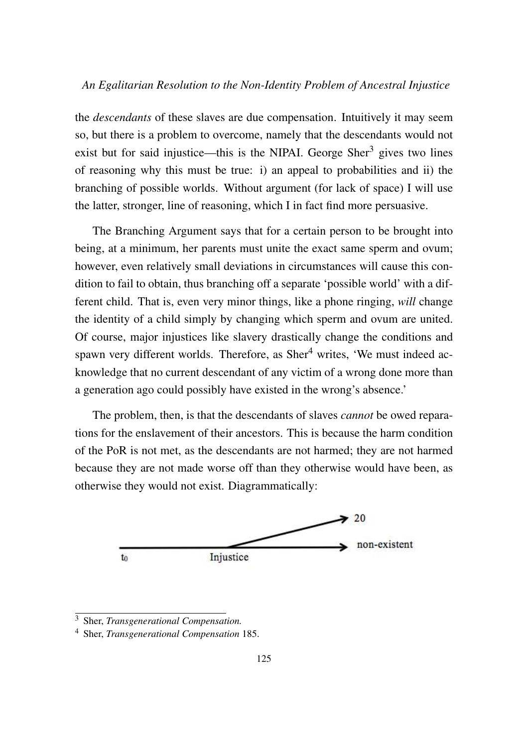## *An Egalitarian Resolution to the Non-Identity Problem of Ancestral Injustice*

the *descendants* of these slaves are due compensation. Intuitively it may seem so, but there is a problem to overcome, namely that the descendants would not exist but for said injustice—this is the NIPAI. George  $\text{Sher}^3$  gives two lines of reasoning why this must be true: i) an appeal to probabilities and ii) the branching of possible worlds. Without argument (for lack of space) I will use the latter, stronger, line of reasoning, which I in fact find more persuasive.

The Branching Argument says that for a certain person to be brought into being, at a minimum, her parents must unite the exact same sperm and ovum; however, even relatively small deviations in circumstances will cause this condition to fail to obtain, thus branching off a separate 'possible world' with a different child. That is, even very minor things, like a phone ringing, *will* change the identity of a child simply by changing which sperm and ovum are united. Of course, major injustices like slavery drastically change the conditions and spawn very different worlds. Therefore, as  $\text{Sher}^4$  writes, 'We must indeed acknowledge that no current descendant of any victim of a wrong done more than a generation ago could possibly have existed in the wrong's absence.'

The problem, then, is that the descendants of slaves *cannot* be owed reparations for the enslavement of their ancestors. This is because the harm condition of the PoR is not met, as the descendants are not harmed; they are not harmed because they are not made worse off than they otherwise would have been, as otherwise they would not exist. Diagrammatically:



<sup>3</sup> Sher, *Transgenerational Compensation.*

<sup>4</sup> Sher, *Transgenerational Compensation* 185.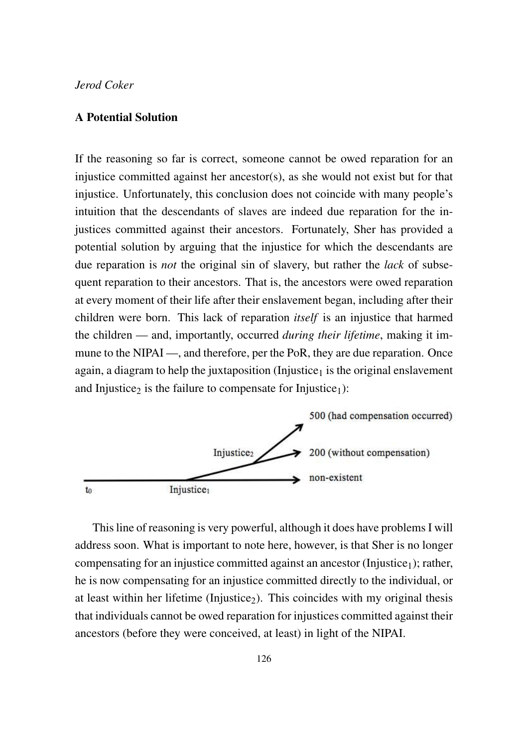## A Potential Solution

If the reasoning so far is correct, someone cannot be owed reparation for an injustice committed against her ancestor(s), as she would not exist but for that injustice. Unfortunately, this conclusion does not coincide with many people's intuition that the descendants of slaves are indeed due reparation for the injustices committed against their ancestors. Fortunately, Sher has provided a potential solution by arguing that the injustice for which the descendants are due reparation is *not* the original sin of slavery, but rather the *lack* of subsequent reparation to their ancestors. That is, the ancestors were owed reparation at every moment of their life after their enslavement began, including after their children were born. This lack of reparation *itself* is an injustice that harmed the children — and, importantly, occurred *during their lifetime*, making it immune to the NIPAI —, and therefore, per the PoR, they are due reparation. Once again, a diagram to help the juxtaposition (Injustice<sub>1</sub> is the original enslavement and Injustice<sub>2</sub> is the failure to compensate for Injustice<sub>1</sub>):



This line of reasoning is very powerful, although it does have problems I will address soon. What is important to note here, however, is that Sher is no longer compensating for an injustice committed against an ancestor (Injustice<sub>1</sub>); rather, he is now compensating for an injustice committed directly to the individual, or at least within her lifetime (Injustice<sub>2</sub>). This coincides with my original thesis that individuals cannot be owed reparation for injustices committed against their ancestors (before they were conceived, at least) in light of the NIPAI.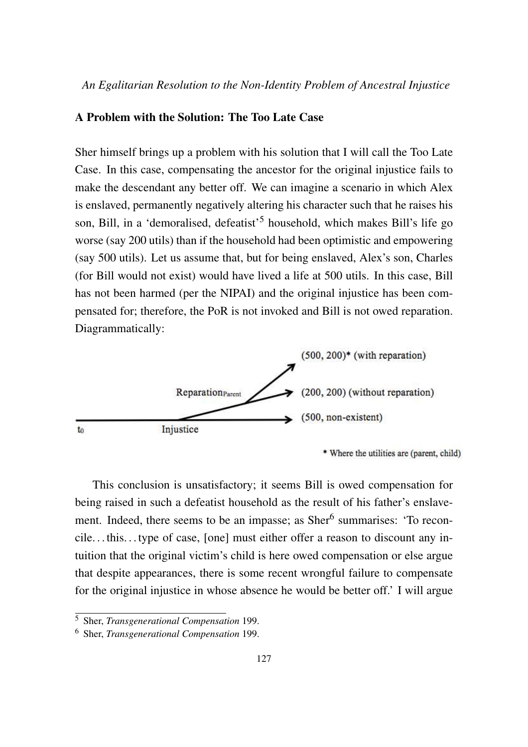*An Egalitarian Resolution to the Non-Identity Problem of Ancestral Injustice*

## A Problem with the Solution: The Too Late Case

Sher himself brings up a problem with his solution that I will call the Too Late Case. In this case, compensating the ancestor for the original injustice fails to make the descendant any better off. We can imagine a scenario in which Alex is enslaved, permanently negatively altering his character such that he raises his son, Bill, in a 'demoralised, defeatist'<sup>5</sup> household, which makes Bill's life go worse (say 200 utils) than if the household had been optimistic and empowering (say 500 utils). Let us assume that, but for being enslaved, Alex's son, Charles (for Bill would not exist) would have lived a life at 500 utils. In this case, Bill has not been harmed (per the NIPAI) and the original injustice has been compensated for; therefore, the PoR is not invoked and Bill is not owed reparation. Diagrammatically:



\* Where the utilities are (parent, child)

This conclusion is unsatisfactory; it seems Bill is owed compensation for being raised in such a defeatist household as the result of his father's enslavement. Indeed, there seems to be an impasse; as Sher<sup>6</sup> summarises: 'To reconcile. . . this. . . type of case, [one] must either offer a reason to discount any intuition that the original victim's child is here owed compensation or else argue that despite appearances, there is some recent wrongful failure to compensate for the original injustice in whose absence he would be better off.' I will argue

<sup>5</sup> Sher, *Transgenerational Compensation* 199.

<sup>6</sup> Sher, *Transgenerational Compensation* 199.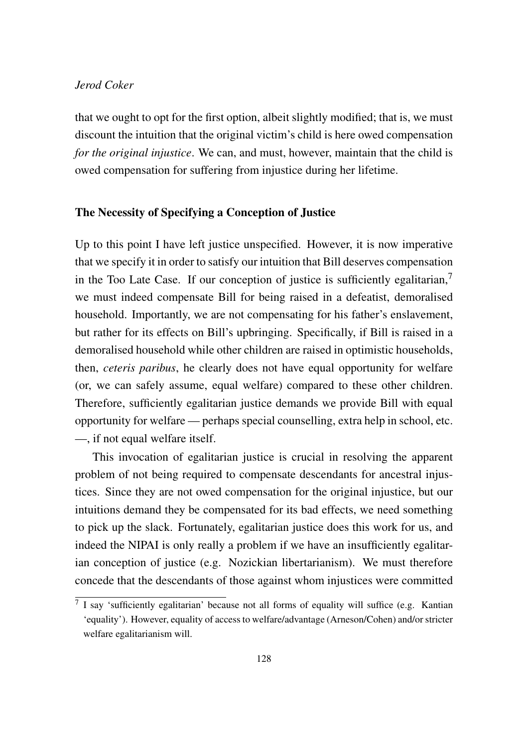that we ought to opt for the first option, albeit slightly modified; that is, we must discount the intuition that the original victim's child is here owed compensation *for the original injustice*. We can, and must, however, maintain that the child is owed compensation for suffering from injustice during her lifetime.

# The Necessity of Specifying a Conception of Justice

Up to this point I have left justice unspecified. However, it is now imperative that we specify it in order to satisfy our intuition that Bill deserves compensation in the Too Late Case. If our conception of justice is sufficiently egalitarian, $\dot{\theta}$ we must indeed compensate Bill for being raised in a defeatist, demoralised household. Importantly, we are not compensating for his father's enslavement, but rather for its effects on Bill's upbringing. Specifically, if Bill is raised in a demoralised household while other children are raised in optimistic households, then, *ceteris paribus*, he clearly does not have equal opportunity for welfare (or, we can safely assume, equal welfare) compared to these other children. Therefore, sufficiently egalitarian justice demands we provide Bill with equal opportunity for welfare — perhaps special counselling, extra help in school, etc. —, if not equal welfare itself.

This invocation of egalitarian justice is crucial in resolving the apparent problem of not being required to compensate descendants for ancestral injustices. Since they are not owed compensation for the original injustice, but our intuitions demand they be compensated for its bad effects, we need something to pick up the slack. Fortunately, egalitarian justice does this work for us, and indeed the NIPAI is only really a problem if we have an insufficiently egalitarian conception of justice (e.g. Nozickian libertarianism). We must therefore concede that the descendants of those against whom injustices were committed

 $7$  I say 'sufficiently egalitarian' because not all forms of equality will suffice (e.g. Kantian 'equality'). However, equality of access to welfare/advantage (Arneson/Cohen) and/or stricter welfare egalitarianism will.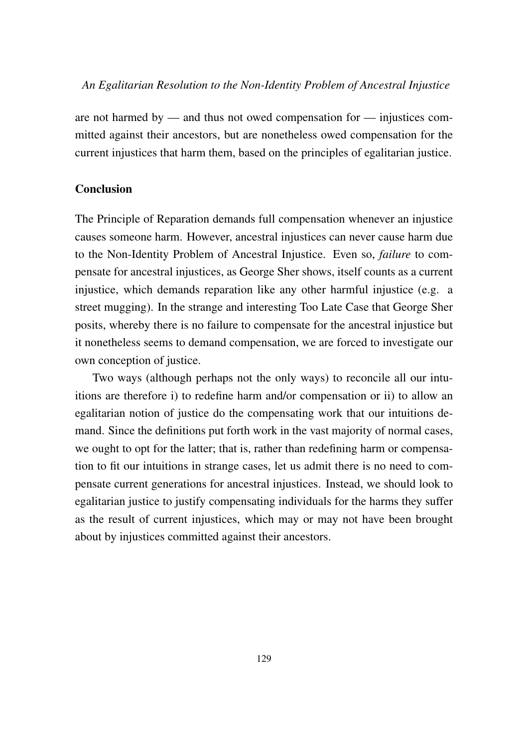#### *An Egalitarian Resolution to the Non-Identity Problem of Ancestral Injustice*

are not harmed by — and thus not owed compensation for — injustices committed against their ancestors, but are nonetheless owed compensation for the current injustices that harm them, based on the principles of egalitarian justice.

#### **Conclusion**

The Principle of Reparation demands full compensation whenever an injustice causes someone harm. However, ancestral injustices can never cause harm due to the Non-Identity Problem of Ancestral Injustice. Even so, *failure* to compensate for ancestral injustices, as George Sher shows, itself counts as a current injustice, which demands reparation like any other harmful injustice (e.g. a street mugging). In the strange and interesting Too Late Case that George Sher posits, whereby there is no failure to compensate for the ancestral injustice but it nonetheless seems to demand compensation, we are forced to investigate our own conception of justice.

Two ways (although perhaps not the only ways) to reconcile all our intuitions are therefore i) to redefine harm and/or compensation or ii) to allow an egalitarian notion of justice do the compensating work that our intuitions demand. Since the definitions put forth work in the vast majority of normal cases, we ought to opt for the latter; that is, rather than redefining harm or compensation to fit our intuitions in strange cases, let us admit there is no need to compensate current generations for ancestral injustices. Instead, we should look to egalitarian justice to justify compensating individuals for the harms they suffer as the result of current injustices, which may or may not have been brought about by injustices committed against their ancestors.